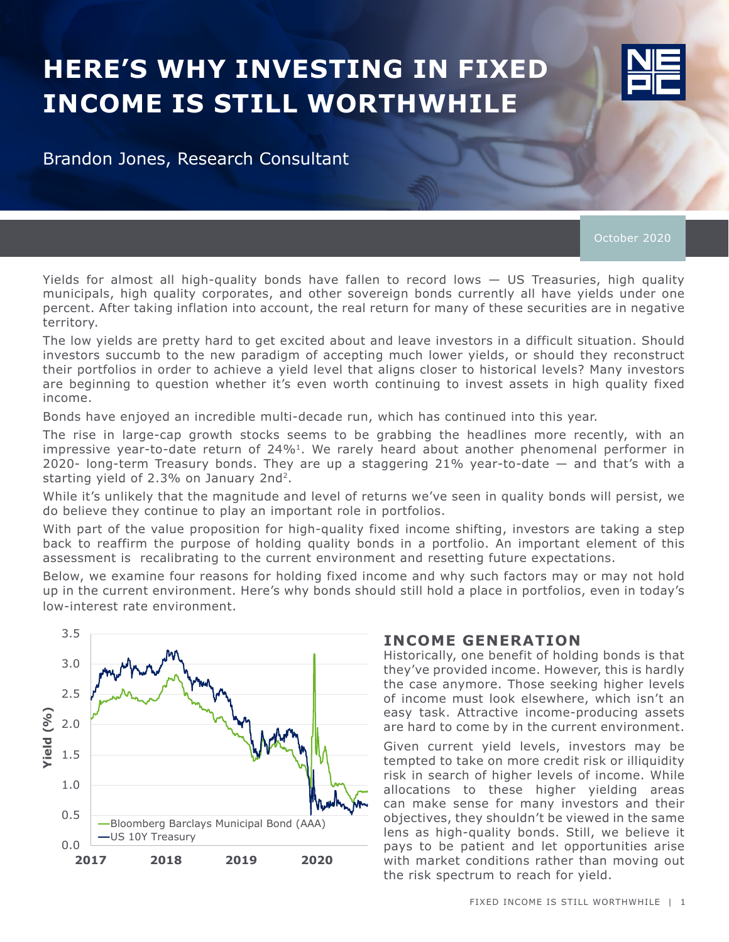# **HERE'S WHY INVESTING IN FIXED INCOME IS STILL WORTHWHILE**



Brandon Jones, Research Consultant

October 2020

Yields for almost all high-quality bonds have fallen to record lows — US Treasuries, high quality municipals, high quality corporates, and other sovereign bonds currently all have yields under one percent. After taking inflation into account, the real return for many of these securities are in negative territory.

The low yields are pretty hard to get excited about and leave investors in a difficult situation. Should investors succumb to the new paradigm of accepting much lower yields, or should they reconstruct their portfolios in order to achieve a yield level that aligns closer to historical levels? Many investors are beginning to question whether it's even worth continuing to invest assets in high quality fixed income.

Bonds have enjoyed an incredible multi-decade run, which has continued into this year.

The rise in large-cap growth stocks seems to be grabbing the headlines more recently, with an impressive year-to-date return of 24%<sup>1</sup>. We rarely heard about another phenomenal performer in 2020- long-term Treasury bonds. They are up a staggering 21% year-to-date — and that's with a starting yield of 2.3% on January 2nd2.

While it's unlikely that the magnitude and level of returns we've seen in quality bonds will persist, we do believe they continue to play an important role in portfolios.

With part of the value proposition for high-quality fixed income shifting, investors are taking a step back to reaffirm the purpose of holding quality bonds in a portfolio. An important element of this assessment is recalibrating to the current environment and resetting future expectations.

Below, we examine four reasons for holding fixed income and why such factors may or may not hold up in the current environment. Here's why bonds should still hold a place in portfolios, even in today's low-interest rate environment.



#### **INCOME GENERATION**

Historically, one benefit of holding bonds is that they've provided income. However, this is hardly the case anymore. Those seeking higher levels of income must look elsewhere, which isn't an easy task. Attractive income-producing assets are hard to come by in the current environment.

Given current yield levels, investors may be tempted to take on more credit risk or illiquidity risk in search of higher levels of income. While allocations to these higher yielding areas can make sense for many investors and their objectives, they shouldn't be viewed in the same lens as high-quality bonds. Still, we believe it pays to be patient and let opportunities arise with market conditions rather than moving out the risk spectrum to reach for yield.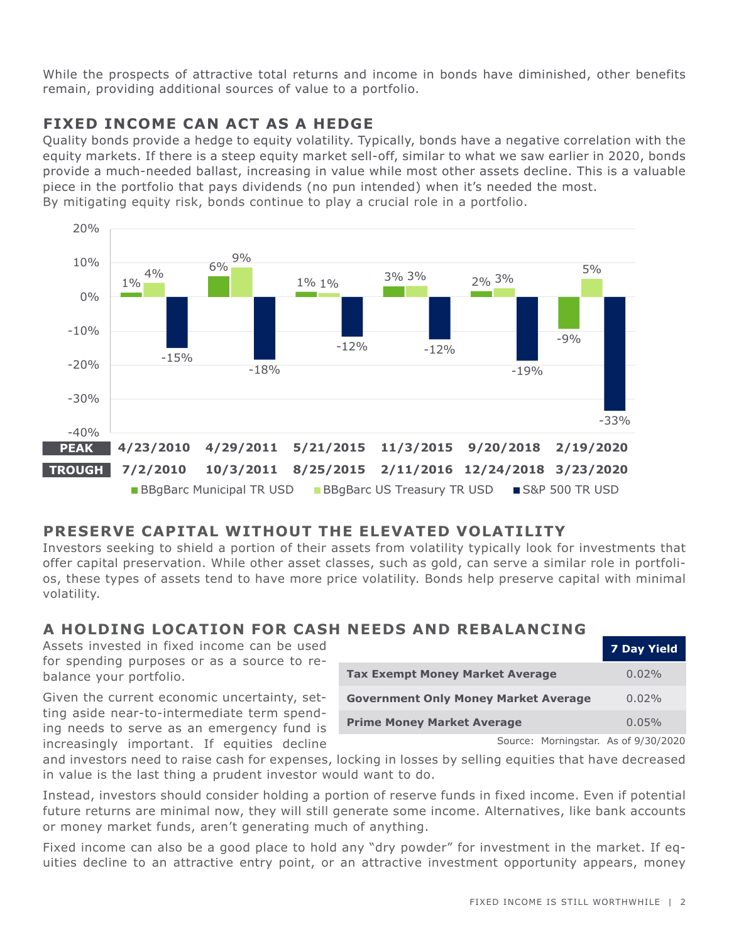While the prospects of attractive total returns and income in bonds have diminished, other benefits remain, providing additional sources of value to a portfolio.

## **FIXED INCOME CAN ACT AS A HEDGE**

Quality bonds provide a hedge to equity volatility. Typically, bonds have a negative correlation with the equity markets. If there is a steep equity market sell-off, similar to what we saw earlier in 2020, bonds provide a much-needed ballast, increasing in value while most other assets decline. This is a valuable piece in the portfolio that pays dividends (no pun intended) when it's needed the most. By mitigating equity risk, bonds continue to play a crucial role in a portfolio.



## **PRESERVE CAPITAL WITHOUT THE ELEVATED VOLATILITY**

Investors seeking to shield a portion of their assets from volatility typically look for investments that offer capital preservation. While other asset classes, such as gold, can serve a similar role in portfolios, these types of assets tend to have more price volatility. Bonds help preserve capital with minimal volatility.

## **A HOLDING LOCATION FOR CASH NEEDS AND REBALANCING**

Assets invested in fixed income can be used for spending purposes or as a source to rebalance your portfolio.

Given the current economic uncertainty, setting aside near-to-intermediate term spending needs to serve as an emergency fund is increasingly important. If equities decline

|                                             | <b>7 Day Yield</b> |
|---------------------------------------------|--------------------|
| <b>Tax Exempt Money Market Average</b>      | $0.02\%$           |
| <b>Government Only Money Market Average</b> | $0.02\%$           |
| <b>Prime Money Market Average</b>           | $0.05\%$           |

Source: Morningstar. As of 9/30/2020

and investors need to raise cash for expenses, locking in losses by selling equities that have decreased in value is the last thing a prudent investor would want to do.

Instead, investors should consider holding a portion of reserve funds in fixed income. Even if potential future returns are minimal now, they will still generate some income. Alternatives, like bank accounts or money market funds, aren't generating much of anything.

Fixed income can also be a good place to hold any "dry powder" for investment in the market. If equities decline to an attractive entry point, or an attractive investment opportunity appears, money